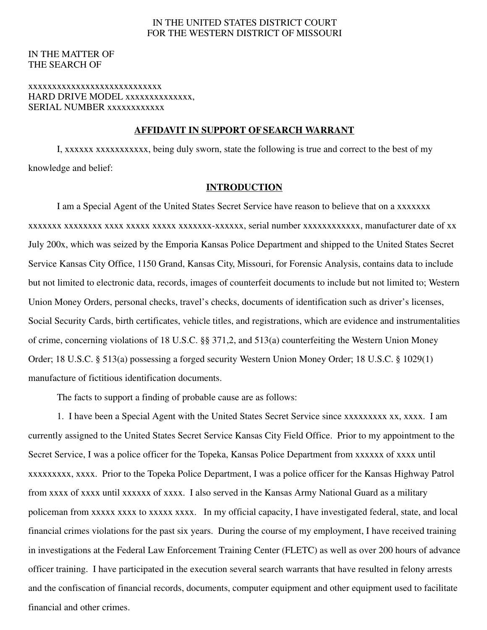## IN THE UNITED STATES DISTRICT COURT FOR THE WESTERN DISTRICT OF MISSOURI

## IN THE MATTER OF THE SEARCH OF

### xxxxxxxxxxxxxxxxxxxxxxxxxxxx HARD DRIVE MODEL xxxxxxxxxxxxxx. SERIAL NUMBER xxxxxxxxxxxx

#### **AFFIDAVIT IN SUPPORT OF SEARCH WARRANT**

I, xxxxxx xxxxxxxxxxx, being duly sworn, state the following is true and correct to the best of my knowledge and belief:

#### **INTRODUCTION**

I am a Special Agent of the United States Secret Service have reason to believe that on a xxxxxxx xxxxxxx xxxxxxxx xxxx xxxxx xxxxx xxxxxxx-xxxxxx, serial number xxxxxxxxxxxx, manufacturer date of xx July 200x, which was seized by the Emporia Kansas Police Department and shipped to the United States Secret Service Kansas City Office, 1150 Grand, Kansas City, Missouri, for Forensic Analysis, contains data to include but not limited to electronic data, records, images of counterfeit documents to include but not limited to; Western Union Money Orders, personal checks, travel's checks, documents of identification such as driver's licenses, Social Security Cards, birth certificates, vehicle titles, and registrations, which are evidence and instrumentalities of crime, concerning violations of 18 U.S.C. §§ 371,2, and 513(a) counterfeiting the Western Union Money Order; 18 U.S.C. § 513(a) possessing a forged security Western Union Money Order; 18 U.S.C. § 1029(1) manufacture of fictitious identification documents.

The facts to support a finding of probable cause are as follows:

1. I have been a Special Agent with the United States Secret Service since xxxxxxxxx xx, xxxx. I am currently assigned to the United States Secret Service Kansas City Field Office. Prior to my appointment to the Secret Service, I was a police officer for the Topeka, Kansas Police Department from xxxxxx of xxxx until xxxxxxxxx, xxxx. Prior to the Topeka Police Department, I was a police officer for the Kansas Highway Patrol from xxxx of xxxx until xxxxxx of xxxx. I also served in the Kansas Army National Guard as a military policeman from xxxxx xxxx to xxxxx xxxx. In my official capacity, I have investigated federal, state, and local financial crimes violations for the past six years. During the course of my employment, I have received training in investigations at the Federal Law Enforcement Training Center (FLETC) as well as over 200 hours of advance officer training. I have participated in the execution several search warrants that have resulted in felony arrests and the confiscation of financial records, documents, computer equipment and other equipment used to facilitate financial and other crimes.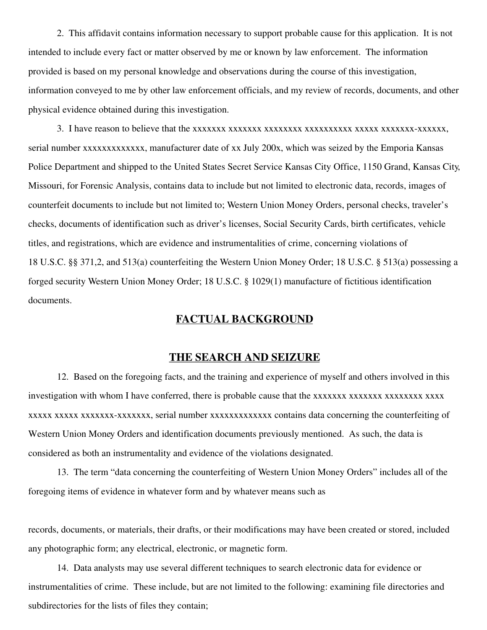2. This affidavit contains information necessary to support probable cause for this application. It is not intended to include every fact or matter observed by me or known by law enforcement. The information provided is based on my personal knowledge and observations during the course of this investigation, information conveyed to me by other law enforcement officials, and my review of records, documents, and other physical evidence obtained during this investigation.

3. I have reason to believe that the xxxxxxx xxxxxxx xxxxxxxx xxxxxxxxxx xxxxx xxxxxxx-xxxxxx, serial number xxxxxxxxxxxxxxx, manufacturer date of xx July 200x, which was seized by the Emporia Kansas Police Department and shipped to the United States Secret Service Kansas City Office, 1150 Grand, Kansas City, Missouri, for Forensic Analysis, contains data to include but not limited to electronic data, records, images of counterfeit documents to include but not limited to; Western Union Money Orders, personal checks, traveler's checks, documents of identification such as driver's licenses, Social Security Cards, birth certificates, vehicle titles, and registrations, which are evidence and instrumentalities of crime, concerning violations of 18 U.S.C. §§ 371,2, and 513(a) counterfeiting the Western Union Money Order; 18 U.S.C. § 513(a) possessing a forged security Western Union Money Order; 18 U.S.C. § 1029(1) manufacture of fictitious identification documents.

# **FACTUAL BACKGROUND**

### **THE SEARCH AND SEIZURE**

12. Based on the foregoing facts, and the training and experience of myself and others involved in this investigation with whom I have conferred, there is probable cause that the xxxxxxx xxxxxxxx xxxxxxx xxxx xxxxx xxxxx xxxxxxx-xxxxxxx, serial number xxxxxxxxxxxxx contains data concerning the counterfeiting of Western Union Money Orders and identification documents previously mentioned. As such, the data is considered as both an instrumentality and evidence of the violations designated.

13. The term "data concerning the counterfeiting of Western Union Money Orders" includes all of the foregoing items of evidence in whatever form and by whatever means such as

records, documents, or materials, their drafts, or their modifications may have been created or stored, included any photographic form; any electrical, electronic, or magnetic form.

14. Data analysts may use several different techniques to search electronic data for evidence or instrumentalities of crime. These include, but are not limited to the following: examining file directories and subdirectories for the lists of files they contain;